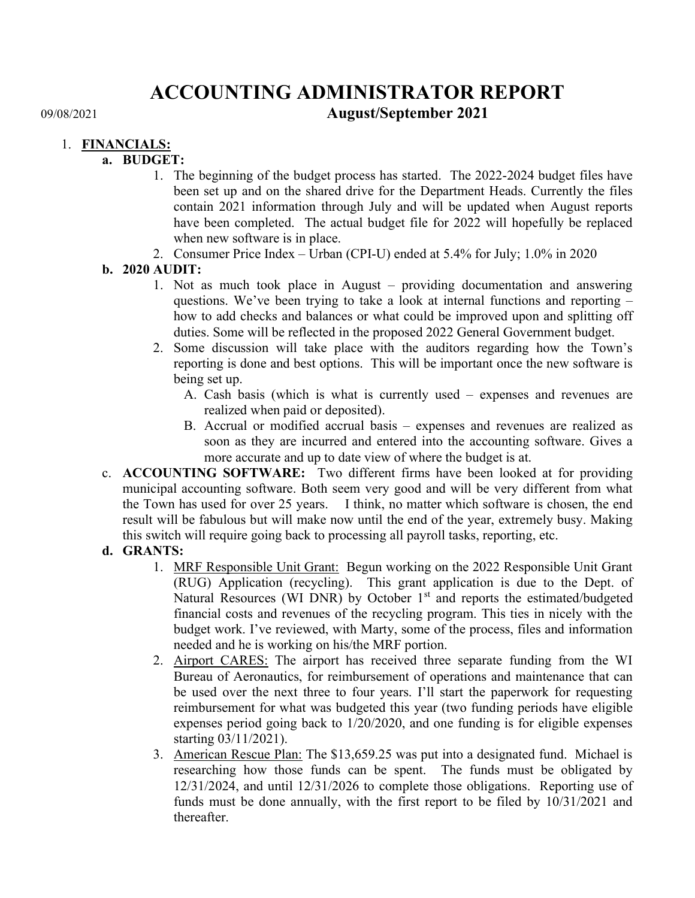# ACCOUNTING ADMINISTRATOR REPORT 09/08/2021 August/September 2021

#### 1. FINANCIALS:

### a. BUDGET:

- 1. The beginning of the budget process has started. The 2022-2024 budget files have been set up and on the shared drive for the Department Heads. Currently the files contain 2021 information through July and will be updated when August reports have been completed. The actual budget file for 2022 will hopefully be replaced when new software is in place.
- 2. Consumer Price Index Urban (CPI-U) ended at 5.4% for July; 1.0% in 2020

# b. 2020 AUDIT:

- 1. Not as much took place in August providing documentation and answering questions. We've been trying to take a look at internal functions and reporting – how to add checks and balances or what could be improved upon and splitting off duties. Some will be reflected in the proposed 2022 General Government budget.
- 2. Some discussion will take place with the auditors regarding how the Town's reporting is done and best options. This will be important once the new software is being set up.
	- A. Cash basis (which is what is currently used expenses and revenues are realized when paid or deposited).
	- B. Accrual or modified accrual basis expenses and revenues are realized as soon as they are incurred and entered into the accounting software. Gives a more accurate and up to date view of where the budget is at.
- c. ACCOUNTING SOFTWARE: Two different firms have been looked at for providing municipal accounting software. Both seem very good and will be very different from what the Town has used for over 25 years. I think, no matter which software is chosen, the end result will be fabulous but will make now until the end of the year, extremely busy. Making this switch will require going back to processing all payroll tasks, reporting, etc.

## d. GRANTS:

- 1. MRF Responsible Unit Grant: Begun working on the 2022 Responsible Unit Grant (RUG) Application (recycling). This grant application is due to the Dept. of Natural Resources (WI DNR) by October 1<sup>st</sup> and reports the estimated/budgeted financial costs and revenues of the recycling program. This ties in nicely with the budget work. I've reviewed, with Marty, some of the process, files and information needed and he is working on his/the MRF portion.
- 2. Airport CARES: The airport has received three separate funding from the WI Bureau of Aeronautics, for reimbursement of operations and maintenance that can be used over the next three to four years. I'll start the paperwork for requesting reimbursement for what was budgeted this year (two funding periods have eligible expenses period going back to 1/20/2020, and one funding is for eligible expenses starting 03/11/2021).
- 3. American Rescue Plan: The \$13,659.25 was put into a designated fund. Michael is researching how those funds can be spent. The funds must be obligated by 12/31/2024, and until 12/31/2026 to complete those obligations. Reporting use of funds must be done annually, with the first report to be filed by 10/31/2021 and thereafter.